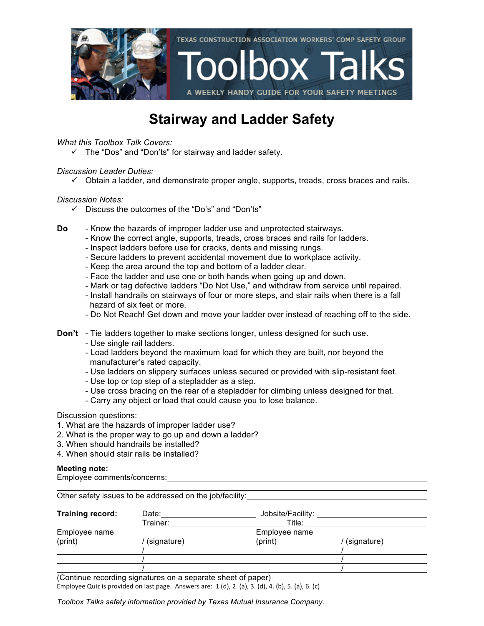

## **Stairway and Ladder Safety**

### *What this Toolbox Talk Covers:*

 $\checkmark$  The "Dos" and "Don'ts" for stairway and ladder safety.

### *Discussion Leader Duties:*

 $\checkmark$  Obtain a ladder, and demonstrate proper angle, supports, treads, cross braces and rails.

### *Discussion Notes:*

- $\checkmark$  Discuss the outcomes of the "Do's" and "Don'ts"
- **Do** Know the hazards of improper ladder use and unprotected stairways.
	- Know the correct angle, supports, treads, cross braces and rails for ladders.
	- Inspect ladders before use for cracks, dents and missing rungs.
	- Secure ladders to prevent accidental movement due to workplace activity.
	- Keep the area around the top and bottom of a ladder clear.
	- Face the ladder and use one or both hands when going up and down.
	- Mark or tag defective ladders "Do Not Use," and withdraw from service until repaired.
	- Install handrails on stairways of four or more steps, and stair rails when there is a fall hazard of six feet or more.
	- Do Not Reach! Get down and move your ladder over instead of reaching off to the side.
- **Don't** Tie ladders together to make sections longer, unless designed for such use.
	- Use single rail ladders.
	- Load ladders beyond the maximum load for which they are built, nor beyond the manufacturer's rated capacity.
	- Use ladders on slippery surfaces unless secured or provided with slip-resistant feet.
	- Use top or top step of a stepladder as a step*.*
	- Use cross bracing on the rear of a stepladder for climbing unless designed for that.
	- Carry any object or load that could cause you to lose balance.

### Discussion questions:

- 1. What are the hazards of improper ladder use?
- 2. What is the proper way to go up and down a ladder?
- 3. When should handrails be installed?
- 4. When should stair rails be installed?

### **Meeting note:**

Employee comments/concerns:

Other safety issues to be addressed on the job/facility: Training record: Date: Date: Jobsite/Facility: Trainer: Title: Employee name Employee name (print) / (signature) (print) / (signature) / / / / / /

(Continue recording signatures on a separate sheet of paper)

Employee Quiz is provided on last page. Answers are:  $1$  (d),  $2$ . (a),  $3$ . (d),  $4$ . (b),  $5$ . (a),  $6$ . (c)

*Toolbox Talks safety information provided by Texas Mutual Insurance Company.*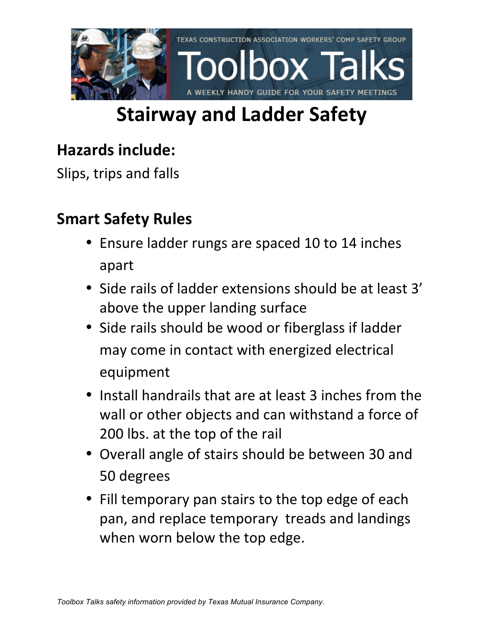

# **Stairway and Ladder Safety**

## **Hazards include:**

Slips, trips and falls

## **Smart Safety Rules**

- Ensure ladder rungs are spaced 10 to 14 inches apart
- Side rails of ladder extensions should be at least 3' above the upper landing surface
- Side rails should be wood or fiberglass if ladder may come in contact with energized electrical equipment
- Install handrails that are at least 3 inches from the wall or other objects and can withstand a force of 200 lbs. at the top of the rail
- Overall angle of stairs should be between 30 and 50 degrees
- Fill temporary pan stairs to the top edge of each pan, and replace temporary treads and landings when worn below the top edge.